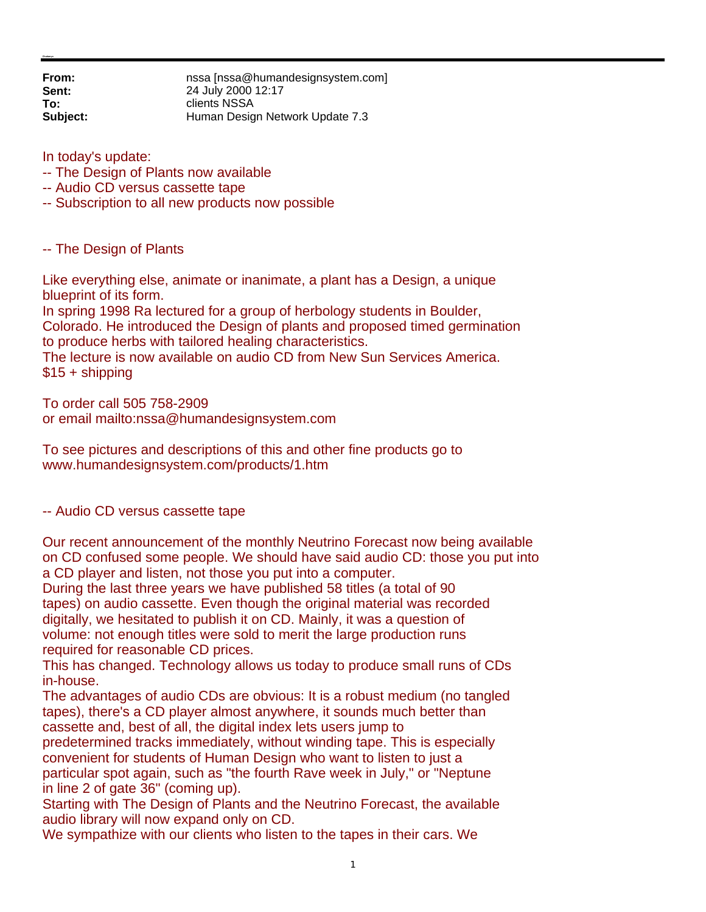**From:** nssa [nssa@humandesignsystem.com] **Sent:** 24 July 2000 12:17 **To:** clients NSSA **Subject:** Human Design Network Update 7.3

In today's update:

- -- The Design of Plants now available
- -- Audio CD versus cassette tape
- -- Subscription to all new products now possible

-- The Design of Plants

Like everything else, animate or inanimate, a plant has a Design, a unique blueprint of its form.

In spring 1998 Ra lectured for a group of herbology students in Boulder, Colorado. He introduced the Design of plants and proposed timed germination to produce herbs with tailored healing characteristics.

The lecture is now available on audio CD from New Sun Services America. \$15 + shipping

To order call 505 758-2909 or email mailto:nssa@humandesignsystem.com

To see pictures and descriptions of this and other fine products go to www.humandesignsystem.com/products/1.htm

-- Audio CD versus cassette tape

Our recent announcement of the monthly Neutrino Forecast now being available on CD confused some people. We should have said audio CD: those you put into a CD player and listen, not those you put into a computer.

During the last three years we have published 58 titles (a total of 90 tapes) on audio cassette. Even though the original material was recorded digitally, we hesitated to publish it on CD. Mainly, it was a question of volume: not enough titles were sold to merit the large production runs required for reasonable CD prices.

This has changed. Technology allows us today to produce small runs of CDs in-house.

The advantages of audio CDs are obvious: It is a robust medium (no tangled tapes), there's a CD player almost anywhere, it sounds much better than cassette and, best of all, the digital index lets users jump to

predetermined tracks immediately, without winding tape. This is especially convenient for students of Human Design who want to listen to just a particular spot again, such as "the fourth Rave week in July," or "Neptune in line 2 of gate 36" (coming up).

Starting with The Design of Plants and the Neutrino Forecast, the available audio library will now expand only on CD.

We sympathize with our clients who listen to the tapes in their cars. We